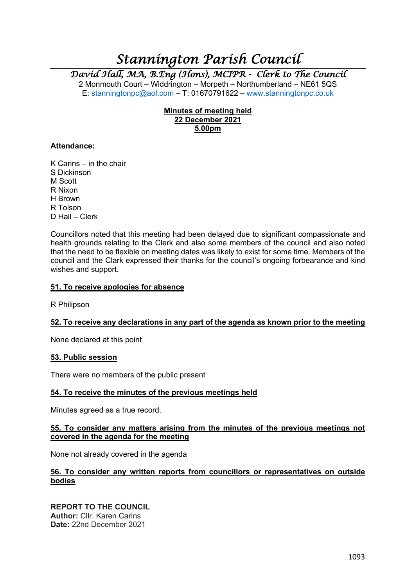# *Stannington Parish Council*

*David Hall, MA, B.Eng (Hons), MCIPR - Clerk to The Council* 

2 Monmouth Court – Widdrington – Morpeth – Northumberland – NE61 5QS E: stanningtonpc@aol.com  $-$  T: 01670791622 – www.stanningtonpc.co.uk

# **Minutes of meeting held 22 December 2021 5.00pm**

## **Attendance:**

K Carins – in the chair S Dickinson M Scott R Nixon H Brown R Tolson D Hall – Clerk

Councillors noted that this meeting had been delayed due to significant compassionate and health grounds relating to the Clerk and also some members of the council and also noted that the need to be flexible on meeting dates was likely to exist for some time. Members of the council and the Clark expressed their thanks for the council's ongoing forbearance and kind wishes and support.

## **51. To receive apologies for absence**

R Philipson

# **52. To receive any declarations in any part of the agenda as known prior to the meeting**

None declared at this point

# **53. Public session**

There were no members of the public present

#### **54. To receive the minutes of the previous meetings held**

Minutes agreed as a true record.

## **55. To consider any matters arising from the minutes of the previous meetings not covered in the agenda for the meeting**

None not already covered in the agenda

## **56. To consider any written reports from councillors or representatives on outside bodies**

**REPORT TO THE COUNCIL Author:** Cllr. Karen Carins **Date:** 22nd December 2021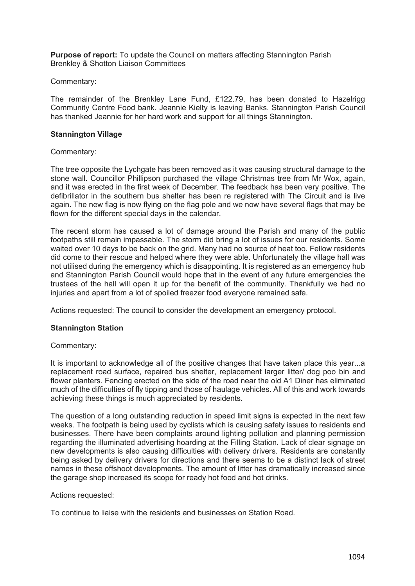**Purpose of report:** To update the Council on matters affecting Stannington Parish Brenkley & Shotton Liaison Committees

#### Commentary:

The remainder of the Brenkley Lane Fund, £122.79, has been donated to Hazelrigg Community Centre Food bank. Jeannie Kielty is leaving Banks. Stannington Parish Council has thanked Jeannie for her hard work and support for all things Stannington.

## **Stannington Village**

## Commentary:

The tree opposite the Lychgate has been removed as it was causing structural damage to the stone wall. Councillor Phillipson purchased the village Christmas tree from Mr Wox, again, and it was erected in the first week of December. The feedback has been very positive. The defibrillator in the southern bus shelter has been re registered with The Circuit and is live again. The new flag is now flying on the flag pole and we now have several flags that may be flown for the different special days in the calendar.

The recent storm has caused a lot of damage around the Parish and many of the public footpaths still remain impassable. The storm did bring a lot of issues for our residents. Some waited over 10 days to be back on the grid. Many had no source of heat too. Fellow residents did come to their rescue and helped where they were able. Unfortunately the village hall was not utilised during the emergency which is disappointing. It is registered as an emergency hub and Stannington Parish Council would hope that in the event of any future emergencies the trustees of the hall will open it up for the benefit of the community. Thankfully we had no injuries and apart from a lot of spoiled freezer food everyone remained safe.

Actions requested: The council to consider the development an emergency protocol.

# **Stannington Station**

#### Commentary:

It is important to acknowledge all of the positive changes that have taken place this year...a replacement road surface, repaired bus shelter, replacement larger litter/ dog poo bin and flower planters. Fencing erected on the side of the road near the old A1 Diner has eliminated much of the difficulties of fly tipping and those of haulage vehicles. All of this and work towards achieving these things is much appreciated by residents.

The question of a long outstanding reduction in speed limit signs is expected in the next few weeks. The footpath is being used by cyclists which is causing safety issues to residents and businesses. There have been complaints around lighting pollution and planning permission regarding the illuminated advertising hoarding at the Filling Station. Lack of clear signage on new developments is also causing difficulties with delivery drivers. Residents are constantly being asked by delivery drivers for directions and there seems to be a distinct lack of street names in these offshoot developments. The amount of litter has dramatically increased since the garage shop increased its scope for ready hot food and hot drinks.

#### Actions requested:

To continue to liaise with the residents and businesses on Station Road.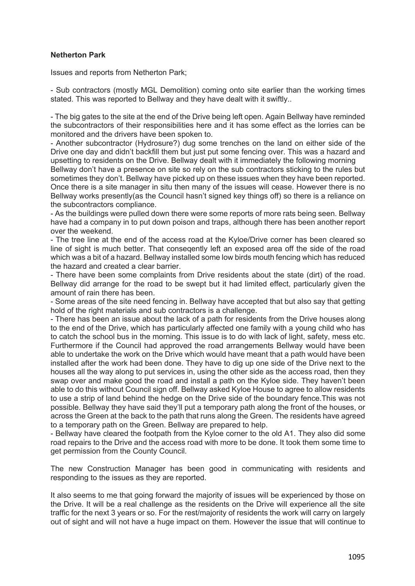# **Netherton Park**

Issues and reports from Netherton Park;

- Sub contractors (mostly MGL Demolition) coming onto site earlier than the working times stated. This was reported to Bellway and they have dealt with it swiftly..

- The big gates to the site at the end of the Drive being left open. Again Bellway have reminded the subcontractors of their responsibilities here and it has some effect as the lorries can be monitored and the drivers have been spoken to.

- Another subcontractor (Hydrosure?) dug some trenches on the land on either side of the Drive one day and didn't backfill them but just put some fencing over. This was a hazard and upsetting to residents on the Drive. Bellway dealt with it immediately the following morning

Bellway don't have a presence on site so rely on the sub contractors sticking to the rules but sometimes they don't. Bellway have picked up on these issues when they have been reported. Once there is a site manager in situ then many of the issues will cease. However there is no Bellway works presently(as the Council hasn't signed key things off) so there is a reliance on the subcontractors compliance.

- As the buildings were pulled down there were some reports of more rats being seen. Bellway have had a company in to put down poison and traps, although there has been another report over the weekend.

- The tree line at the end of the access road at the Kyloe/Drive corner has been cleared so line of sight is much better. That conseqently left an exposed area off the side of the road which was a bit of a hazard. Bellway installed some low birds mouth fencing which has reduced the hazard and created a clear barrier.

- There have been some complaints from Drive residents about the state (dirt) of the road. Bellway did arrange for the road to be swept but it had limited effect, particularly given the amount of rain there has been.

- Some areas of the site need fencing in. Bellway have accepted that but also say that getting hold of the right materials and sub contractors is a challenge.

- There has been an issue about the lack of a path for residents from the Drive houses along to the end of the Drive, which has particularly affected one family with a young child who has to catch the school bus in the morning. This issue is to do with lack of light, safety, mess etc. Furthermore if the Council had approved the road arrangements Bellway would have been able to undertake the work on the Drive which would have meant that a path would have been installed after the work had been done. They have to dig up one side of the Drive next to the houses all the way along to put services in, using the other side as the access road, then they swap over and make good the road and install a path on the Kyloe side. They haven't been able to do this without Council sign off. Bellway asked Kyloe House to agree to allow residents to use a strip of land behind the hedge on the Drive side of the boundary fence.This was not possible. Bellway they have said they'll put a temporary path along the front of the houses, or across the Green at the back to the path that runs along the Green. The residents have agreed to a temporary path on the Green. Bellway are prepared to help.

- Bellway have cleared the footpath from the Kyloe corner to the old A1. They also did some road repairs to the Drive and the access road with more to be done. It took them some time to get permission from the County Council.

The new Construction Manager has been good in communicating with residents and responding to the issues as they are reported.

It also seems to me that going forward the majority of issues will be experienced by those on the Drive. It will be a real challenge as the residents on the Drive will experience all the site traffic for the next 3 years or so. For the rest/majority of residents the work will carry on largely out of sight and will not have a huge impact on them. However the issue that will continue to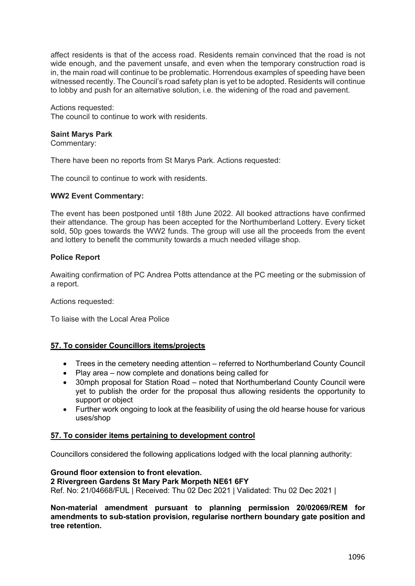affect residents is that of the access road. Residents remain convinced that the road is not wide enough, and the pavement unsafe, and even when the temporary construction road is in, the main road will continue to be problematic. Horrendous examples of speeding have been witnessed recently. The Council's road safety plan is yet to be adopted. Residents will continue to lobby and push for an alternative solution, i.e. the widening of the road and pavement.

## Actions requested:

The council to continue to work with residents.

#### **Saint Marys Park**

Commentary:

There have been no reports from St Marys Park. Actions requested:

The council to continue to work with residents.

#### **WW2 Event Commentary:**

The event has been postponed until 18th June 2022. All booked attractions have confirmed their attendance. The group has been accepted for the Northumberland Lottery. Every ticket sold, 50p goes towards the WW2 funds. The group will use all the proceeds from the event and lottery to benefit the community towards a much needed village shop.

## **Police Report**

Awaiting confirmation of PC Andrea Potts attendance at the PC meeting or the submission of a report.

Actions requested:

To liaise with the Local Area Police

# **57. To consider Councillors items/projects**

- Trees in the cemetery needing attention referred to Northumberland County Council
- Play area now complete and donations being called for
- 30mph proposal for Station Road noted that Northumberland County Council were yet to publish the order for the proposal thus allowing residents the opportunity to support or object
- Further work ongoing to look at the feasibility of using the old hearse house for various uses/shop

#### **57. To consider items pertaining to development control**

Councillors considered the following applications lodged with the local planning authority:

#### **Ground floor extension to front elevation.**

**2 Rivergreen Gardens St Mary Park Morpeth NE61 6FY**

Ref. No: 21/04668/FUL | Received: Thu 02 Dec 2021 | Validated: Thu 02 Dec 2021 |

**Non-material amendment pursuant to planning permission 20/02069/REM for amendments to sub-station provision, regularise northern boundary gate position and tree retention.**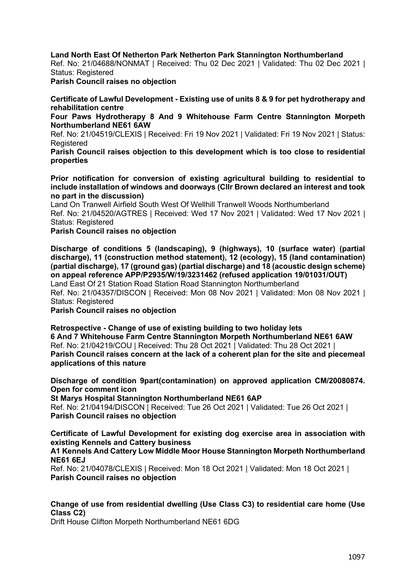**Land North East Of Netherton Park Netherton Park Stannington Northumberland**

Ref. No: 21/04688/NONMAT | Received: Thu 02 Dec 2021 | Validated: Thu 02 Dec 2021 | Status: Registered

**Parish Council raises no objection**

**Certificate of Lawful Development - Existing use of units 8 & 9 for pet hydrotherapy and rehabilitation centre** 

**Four Paws Hydrotherapy 8 And 9 Whitehouse Farm Centre Stannington Morpeth Northumberland NE61 6AW**

Ref. No: 21/04519/CLEXIS | Received: Fri 19 Nov 2021 | Validated: Fri 19 Nov 2021 | Status: **Registered** 

**Parish Council raises objection to this development which is too close to residential properties**

**Prior notification for conversion of existing agricultural building to residential to include installation of windows and doorways (Cllr Brown declared an interest and took no part in the discussion)**

Land On Tranwell Airfield South West Of Wellhill Tranwell Woods Northumberland Ref. No: 21/04520/AGTRES | Received: Wed 17 Nov 2021 | Validated: Wed 17 Nov 2021 | Status: Registered

#### **Parish Council raises no objection**

**Discharge of conditions 5 (landscaping), 9 (highways), 10 (surface water) (partial discharge), 11 (construction method statement), 12 (ecology), 15 (land contamination) (partial discharge), 17 (ground gas) (partial discharge) and 18 (acoustic design scheme) on appeal reference APP/P2935/W/19/3231462 (refused application 19/01031/OUT)** Land East Of 21 Station Road Station Road Stannington Northumberland Ref. No: 21/04357/DISCON | Received: Mon 08 Nov 2021 | Validated: Mon 08 Nov 2021 | Status: Registered

**Parish Council raises no objection**

**Retrospective - Change of use of existing building to two holiday lets 6 And 7 Whitehouse Farm Centre Stannington Morpeth Northumberland NE61 6AW** Ref. No: 21/04219/COU | Received: Thu 28 Oct 2021 | Validated: Thu 28 Oct 2021 | **Parish Council raises concern at the lack of a coherent plan for the site and piecemeal applications of this nature**

**Discharge of condition 9part(contamination) on approved application CM/20080874. Open for comment icon**

**St Marys Hospital Stannington Northumberland NE61 6AP**

Ref. No: 21/04194/DISCON | Received: Tue 26 Oct 2021 | Validated: Tue 26 Oct 2021 | **Parish Council raises no objection**

**Certificate of Lawful Development for existing dog exercise area in association with existing Kennels and Cattery business**

#### **A1 Kennels And Cattery Low Middle Moor House Stannington Morpeth Northumberland NE61 6EJ**

Ref. No: 21/04078/CLEXIS | Received: Mon 18 Oct 2021 | Validated: Mon 18 Oct 2021 | **Parish Council raises no objection**

# **Change of use from residential dwelling (Use Class C3) to residential care home (Use Class C2)**

Drift House Clifton Morpeth Northumberland NE61 6DG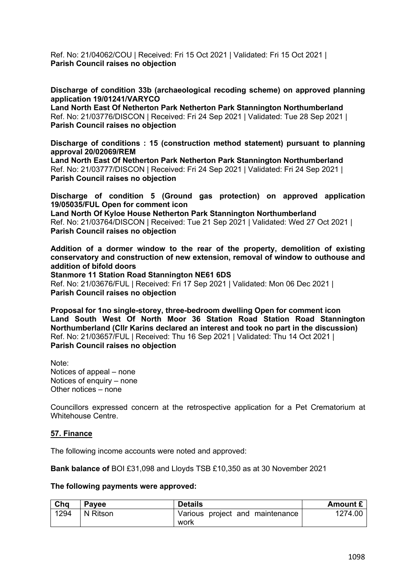Ref. No: 21/04062/COU | Received: Fri 15 Oct 2021 | Validated: Fri 15 Oct 2021 | **Parish Council raises no objection**

**Discharge of condition 33b (archaeological recoding scheme) on approved planning application 19/01241/VARYCO**

**Land North East Of Netherton Park Netherton Park Stannington Northumberland** Ref. No: 21/03776/DISCON | Received: Fri 24 Sep 2021 | Validated: Tue 28 Sep 2021 | **Parish Council raises no objection**

**Discharge of conditions : 15 (construction method statement) pursuant to planning approval 20/02069/REM** 

**Land North East Of Netherton Park Netherton Park Stannington Northumberland** Ref. No: 21/03777/DISCON | Received: Fri 24 Sep 2021 | Validated: Fri 24 Sep 2021 | **Parish Council raises no objection**

**Discharge of condition 5 (Ground gas protection) on approved application 19/05035/FUL Open for comment icon**

**Land North Of Kyloe House Netherton Park Stannington Northumberland** Ref. No: 21/03764/DISCON | Received: Tue 21 Sep 2021 | Validated: Wed 27 Oct 2021 | **Parish Council raises no objection**

**Addition of a dormer window to the rear of the property, demolition of existing conservatory and construction of new extension, removal of window to outhouse and addition of bifold doors** 

**Stanmore 11 Station Road Stannington NE61 6DS** Ref. No: 21/03676/FUL | Received: Fri 17 Sep 2021 | Validated: Mon 06 Dec 2021 | **Parish Council raises no objection**

**Proposal for 1no single-storey, three-bedroom dwelling Open for comment icon Land South West Of North Moor 36 Station Road Station Road Stannington Northumberland (Cllr Karins declared an interest and took no part in the discussion)** Ref. No: 21/03657/FUL | Received: Thu 16 Sep 2021 | Validated: Thu 14 Oct 2021 | **Parish Council raises no objection**

Note: Notices of appeal – none Notices of enquiry – none Other notices – none

Councillors expressed concern at the retrospective application for a Pet Crematorium at Whitehouse Centre.

# **57. Finance**

The following income accounts were noted and approved:

**Bank balance of** BOI £31,098 and Lloyds TSB £10,350 as at 30 November 2021

#### **The following payments were approved:**

| Cha  | Payee    | <b>Details</b>                  | Amount £ |
|------|----------|---------------------------------|----------|
| 1294 | N Ritson | Various project and maintenance | 1274.00  |
|      |          | work                            |          |